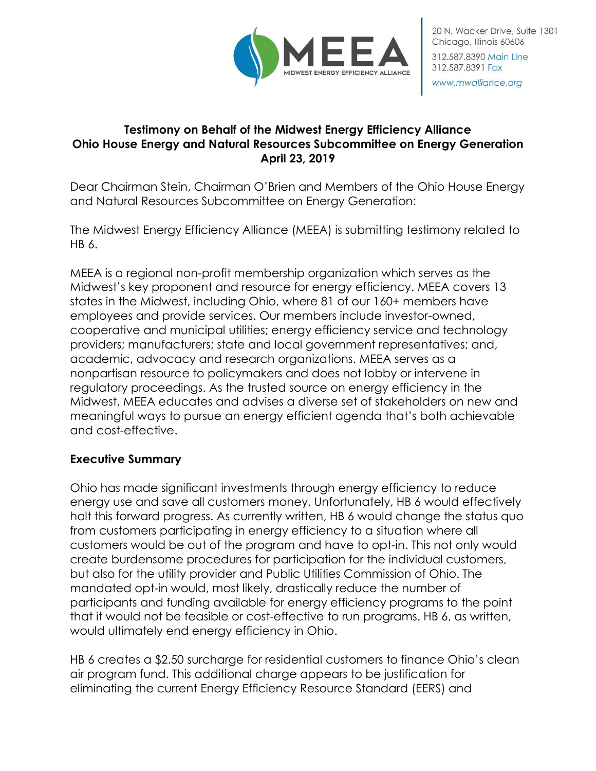

### **Testimony on Behalf of the Midwest Energy Efficiency Alliance Ohio House Energy and Natural Resources Subcommittee on Energy Generation April 23, 2019**

Dear Chairman Stein, Chairman O'Brien and Members of the Ohio House Energy and Natural Resources Subcommittee on Energy Generation:

The Midwest Energy Efficiency Alliance (MEEA) is submitting testimony related to HB 6.

MEEA is a regional non-profit membership organization which serves as the Midwest's key proponent and resource for energy efficiency. MEEA covers 13 states in the Midwest, including Ohio, where 81 of our 160+ members have employees and provide services. Our members include investor-owned, cooperative and municipal utilities; energy efficiency service and technology providers; manufacturers; state and local government representatives; and, academic, advocacy and research organizations. MEEA serves as a nonpartisan resource to policymakers and does not lobby or intervene in regulatory proceedings. As the trusted source on energy efficiency in the Midwest, MEEA educates and advises a diverse set of stakeholders on new and meaningful ways to pursue an energy efficient agenda that's both achievable and cost-effective.

## **Executive Summary**

Ohio has made significant investments through energy efficiency to reduce energy use and save all customers money. Unfortunately, HB 6 would effectively halt this forward progress. As currently written, HB 6 would change the status quo from customers participating in energy efficiency to a situation where all customers would be out of the program and have to opt-in. This not only would create burdensome procedures for participation for the individual customers, but also for the utility provider and Public Utilities Commission of Ohio. The mandated opt-in would, most likely, drastically reduce the number of participants and funding available for energy efficiency programs to the point that it would not be feasible or cost-effective to run programs. HB 6, as written, would ultimately end energy efficiency in Ohio.

HB 6 creates a \$2.50 surcharge for residential customers to finance Ohio's clean air program fund. This additional charge appears to be justification for eliminating the current Energy Efficiency Resource Standard (EERS) and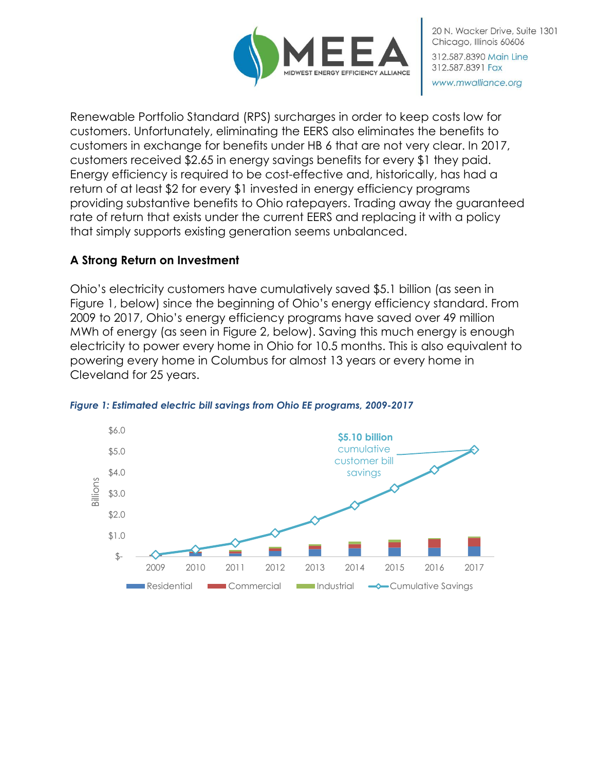

Renewable Portfolio Standard (RPS) surcharges in order to keep costs low for customers. Unfortunately, eliminating the EERS also eliminates the benefits to customers in exchange for benefits under HB 6 that are not very clear. In 2017, customers received \$2.65 in energy savings benefits for every \$1 they paid. Energy efficiency is required to be cost-effective and, historically, has had a return of at least \$2 for every \$1 invested in energy efficiency programs providing substantive benefits to Ohio ratepayers. Trading away the guaranteed rate of return that exists under the current EERS and replacing it with a policy that simply supports existing generation seems unbalanced.

# **A Strong Return on Investment**

Ohio's electricity customers have cumulatively saved \$5.1 billion (as seen in Figure 1, below) since the beginning of Ohio's energy efficiency standard. From 2009 to 2017, Ohio's energy efficiency programs have saved over 49 million MWh of energy (as seen in Figure 2, below). Saving this much energy is enough electricity to power every home in Ohio for 10.5 months. This is also equivalent to powering every home in Columbus for almost 13 years or every home in Cleveland for 25 years.



#### *Figure 1: Estimated electric bill savings from Ohio EE programs, 2009-2017*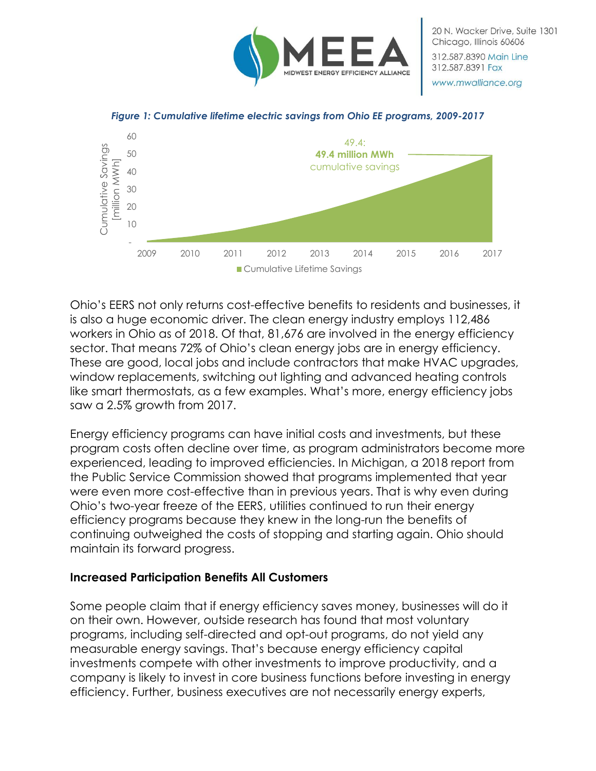





Ohio's EERS not only returns cost-effective benefits to residents and businesses, it is also a huge economic driver. The clean energy industry employs 112,486 workers in Ohio as of 2018. Of that, 81,676 are involved in the energy efficiency sector. That means 72% of Ohio's clean energy jobs are in energy efficiency. These are good, local jobs and include contractors that make HVAC upgrades, window replacements, switching out lighting and advanced heating controls like smart thermostats, as a few examples. What's more, energy efficiency jobs saw a 2.5% growth from 2017.

Energy efficiency programs can have initial costs and investments, but these program costs often decline over time, as program administrators become more experienced, leading to improved efficiencies. In Michigan, a 2018 report from the Public Service Commission showed that programs implemented that year were even more cost-effective than in previous years. That is why even during Ohio's two-year freeze of the EERS, utilities continued to run their energy efficiency programs because they knew in the long-run the benefits of continuing outweighed the costs of stopping and starting again. Ohio should maintain its forward progress.

## **Increased Participation Benefits All Customers**

Some people claim that if energy efficiency saves money, businesses will do it on their own. However, outside research has found that most voluntary programs, including self-directed and opt-out programs, do not yield any measurable energy savings. That's because energy efficiency capital investments compete with other investments to improve productivity, and a company is likely to invest in core business functions before investing in energy efficiency. Further, business executives are not necessarily energy experts,